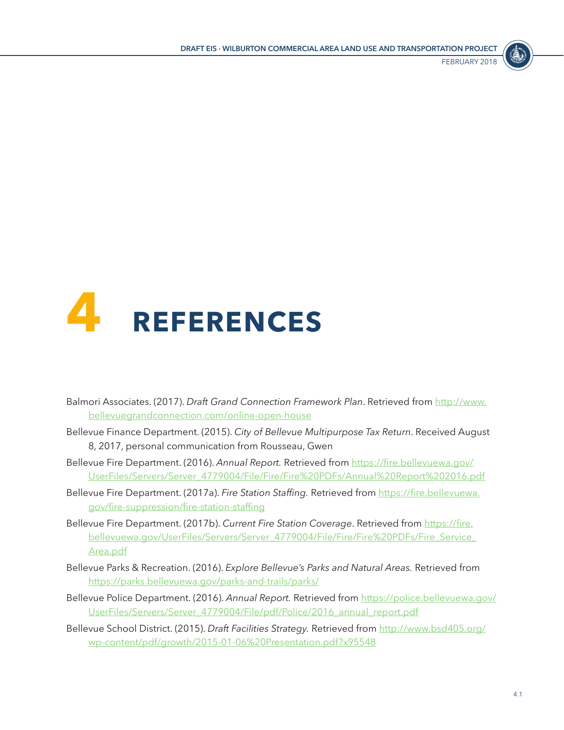



- Balmori Associates. (2017). *Draft Grand Connection Framework Plan*. Retrieved from [http://www.](http://www.bellevuegrandconnection.com/online-open-house) [bellevuegrandconnection.com/online-open-house](http://www.bellevuegrandconnection.com/online-open-house)
- Bellevue Finance Department. (2015). *City of Bellevue Multipurpose Tax Return*. Received August 8, 2017, personal communication from Rousseau, Gwen
- Bellevue Fire Department. (2016). *Annual Report.* Retrieved from [https://fire.bellevuewa.gov/](https://fire.bellevuewa.gov/UserFiles/Servers/Server_4779004/File/Fire/Fire%20PDFs/Annual%20Report%202016.pdf) [UserFiles/Servers/Server\\_4779004/File/Fire/Fire%20PDFs/Annual%20Report%202016.pdf](https://fire.bellevuewa.gov/UserFiles/Servers/Server_4779004/File/Fire/Fire%20PDFs/Annual%20Report%202016.pdf)
- Bellevue Fire Department. (2017a). *Fire Station Staffing.* Retrieved from [https://fire.bellevuewa.](https://fire.bellevuewa.gov/fire-suppression/fire-station-staffing) [gov/fire-suppression/fire-station-staffing](https://fire.bellevuewa.gov/fire-suppression/fire-station-staffing)
- Bellevue Fire Department. (2017b). *Current Fire Station Coverage*. Retrieved from [https://fire.](https://fire.bellevuewa.gov/UserFiles/Servers/Server_4779004/File/Fire/Fire%20PDFs/Fire_Service_Area.pdf) [bellevuewa.gov/UserFiles/Servers/Server\\_4779004/File/Fire/Fire%20PDFs/Fire\\_Service\\_](https://fire.bellevuewa.gov/UserFiles/Servers/Server_4779004/File/Fire/Fire%20PDFs/Fire_Service_Area.pdf) [Area.pdf](https://fire.bellevuewa.gov/UserFiles/Servers/Server_4779004/File/Fire/Fire%20PDFs/Fire_Service_Area.pdf)
- Bellevue Parks & Recreation. (2016). *Explore Bellevue's Parks and Natural Areas.* Retrieved from <https://parks.bellevuewa.gov/parks-and-trails/parks/>
- Bellevue Police Department. (2016). Annual Report. Retrieved from [https://police.bellevuewa.gov/](https://police.bellevuewa.gov/UserFiles/Servers/Server_4779004/File/pdf/Police/2016_annual_report.pdf) [UserFiles/Servers/Server\\_4779004/File/pdf/Police/2016\\_annual\\_report.pdf](https://police.bellevuewa.gov/UserFiles/Servers/Server_4779004/File/pdf/Police/2016_annual_report.pdf)
- Bellevue School District. (2015). *Draft Facilities Strategy.* Retrieved from [http://www.bsd405.org/](http://www.bsd405.org/wp-content/pdf/growth/2015-01-06%20Presentation.pdf?x95548) [wp-content/pdf/growth/2015-01-06%20Presentation.pdf?x95548](http://www.bsd405.org/wp-content/pdf/growth/2015-01-06%20Presentation.pdf?x95548)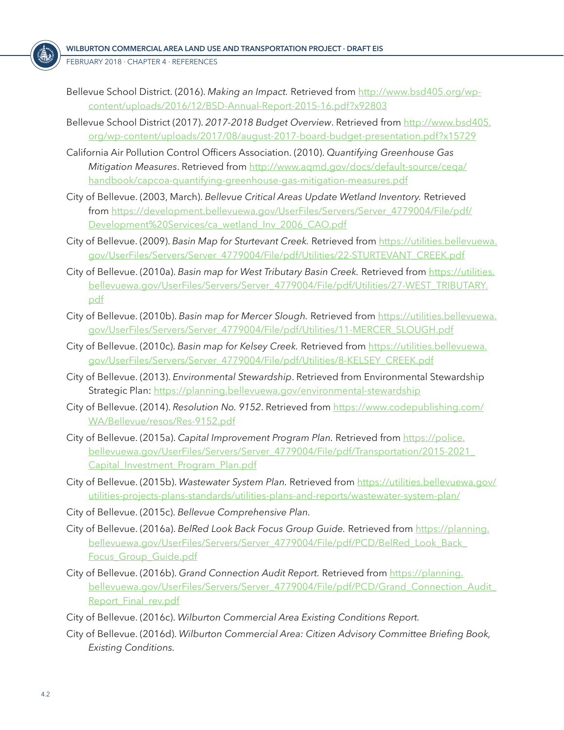FEBRUARY 2018 ⋅ CHAPTER 4 ⋅ References

- Bellevue School District. (2016). *Making an Impact.* Retrieved from [http://www.bsd405.org/wp](http://www.bsd405.org/wp-content/uploads/2016/12/BSD-Annual-Report-2015-16.pdf?x92803)[content/uploads/2016/12/BSD-Annual-Report-2015-16.pdf?x92803](http://www.bsd405.org/wp-content/uploads/2016/12/BSD-Annual-Report-2015-16.pdf?x92803)
- Bellevue School District (2017). *2017-2018 Budget Overview*. Retrieved from [http://www.bsd405.](http://www.bsd405.org/wp-content/uploads/2017/08/august-2017-board-budget-presentation.pdf?x15729) [org/wp-content/uploads/2017/08/august-2017-board-budget-presentation.pdf?x15729](http://www.bsd405.org/wp-content/uploads/2017/08/august-2017-board-budget-presentation.pdf?x15729)
- California Air Pollution Control Officers Association. (2010). *Quantifying Greenhouse Gas Mitigation Measures*. Retrieved from [http://www.aqmd.gov/docs/default-source/ceqa/](http://www.aqmd.gov/docs/default-source/ceqa/handbook/capcoa-quantifying-greenhouse-gas-mitigation-measures.pdf) [handbook/capcoa-quantifying-greenhouse-gas-mitigation-measures.pdf](http://www.aqmd.gov/docs/default-source/ceqa/handbook/capcoa-quantifying-greenhouse-gas-mitigation-measures.pdf)
- City of Bellevue. (2003, March). *Bellevue Critical Areas Update Wetland Inventory.* Retrieved from [https://development.bellevuewa.gov/UserFiles/Servers/Server\\_4779004/File/pdf/](https://development.bellevuewa.gov/UserFiles/Servers/Server_4779004/File/pdf/Development%20Services/ca_wetland_Inv_2006_CAO.pdf) [Development%20Services/ca\\_wetland\\_Inv\\_2006\\_CAO.pdf](https://development.bellevuewa.gov/UserFiles/Servers/Server_4779004/File/pdf/Development%20Services/ca_wetland_Inv_2006_CAO.pdf)
- City of Bellevue. (2009). *Basin Map for Sturtevant Creek.* Retrieved from [https://utilities.bellevuewa.](https://utilities.bellevuewa.gov/UserFiles/Servers/Server_4779004/File/pdf/Utilities/22-STURTEVANT_CREEK.pdf) [gov/UserFiles/Servers/Server\\_4779004/File/pdf/Utilities/22-STURTEVANT\\_CREEK.pdf](https://utilities.bellevuewa.gov/UserFiles/Servers/Server_4779004/File/pdf/Utilities/22-STURTEVANT_CREEK.pdf)
- City of Bellevue. (2010a). *Basin map for West Tributary Basin Creek.* Retrieved from [https://utilities.](https://utilities.bellevuewa.gov/UserFiles/Servers/Server_4779004/File/pdf/Utilities/27-WEST_TRIBUTARY.pdf) [bellevuewa.gov/UserFiles/Servers/Server\\_4779004/File/pdf/Utilities/27-WEST\\_TRIBUTARY.](https://utilities.bellevuewa.gov/UserFiles/Servers/Server_4779004/File/pdf/Utilities/27-WEST_TRIBUTARY.pdf) [pdf](https://utilities.bellevuewa.gov/UserFiles/Servers/Server_4779004/File/pdf/Utilities/27-WEST_TRIBUTARY.pdf)
- City of Bellevue. (2010b). *Basin map for Mercer Slough.* Retrieved from [https://utilities.bellevuewa.](https://utilities.bellevuewa.gov/UserFiles/Servers/Server_4779004/File/pdf/Utilities/11-MERCER_SLOUGH.pdf) [gov/UserFiles/Servers/Server\\_4779004/File/pdf/Utilities/11-MERCER\\_SLOUGH.pdf](https://utilities.bellevuewa.gov/UserFiles/Servers/Server_4779004/File/pdf/Utilities/11-MERCER_SLOUGH.pdf)
- City of Bellevue. (2010c). *Basin map for Kelsey Creek.* Retrieved from [https://utilities.bellevuewa.](https://utilities.bellevuewa.gov/UserFiles/Servers/Server_4779004/File/pdf/Utilities/8-KELSEY_CREEK.pdf) [gov/UserFiles/Servers/Server\\_4779004/File/pdf/Utilities/8-KELSEY\\_CREEK.pdf](https://utilities.bellevuewa.gov/UserFiles/Servers/Server_4779004/File/pdf/Utilities/8-KELSEY_CREEK.pdf)
- City of Bellevue. (2013). *Environmental Stewardship*. Retrieved from Environmental Stewardship Strategic Plan:<https://planning.bellevuewa.gov/environmental-stewardship>
- City of Bellevue. (2014). *Resolution No. 9152*. Retrieved from [https://www.codepublishing.com/](https://www.codepublishing.com/WA/Bellevue/resos/Res-9152.pdf) [WA/Bellevue/resos/Res-9152.pdf](https://www.codepublishing.com/WA/Bellevue/resos/Res-9152.pdf)
- City of Bellevue. (2015a). *Capital Improvement Program Plan.* Retrieved from [https://police.](https://police.bellevuewa.gov/UserFiles/Servers/Server_4779004/File/pdf/Transportation/2015-2021_Capital_Investment_Program_Plan.pdf) [bellevuewa.gov/UserFiles/Servers/Server\\_4779004/File/pdf/Transportation/2015-2021\\_](https://police.bellevuewa.gov/UserFiles/Servers/Server_4779004/File/pdf/Transportation/2015-2021_Capital_Investment_Program_Plan.pdf) [Capital\\_Investment\\_Program\\_Plan.pdf](https://police.bellevuewa.gov/UserFiles/Servers/Server_4779004/File/pdf/Transportation/2015-2021_Capital_Investment_Program_Plan.pdf)
- City of Bellevue. (2015b). *Wastewater System Plan.* Retrieved from [https://utilities.bellevuewa.gov/](https://utilities.bellevuewa.gov/utilities-projects-plans-standards/utilities-plans-and-reports/wastewater-system-plan/) [utilities-projects-plans-standards/utilities-plans-and-reports/wastewater-system-plan/](https://utilities.bellevuewa.gov/utilities-projects-plans-standards/utilities-plans-and-reports/wastewater-system-plan/)
- City of Bellevue. (2015c). *Bellevue Comprehensive Plan.*
- City of Bellevue. (2016a). *BelRed Look Back Focus Group Guide.* Retrieved from [https://planning.](https://planning.bellevuewa.gov/UserFiles/Servers/Server_4779004/File/pdf/PCD/BelRed_Look_Back_Focus_Group_Guide.pdf) [bellevuewa.gov/UserFiles/Servers/Server\\_4779004/File/pdf/PCD/BelRed\\_Look\\_Back\\_](https://planning.bellevuewa.gov/UserFiles/Servers/Server_4779004/File/pdf/PCD/BelRed_Look_Back_Focus_Group_Guide.pdf) [Focus\\_Group\\_Guide.pdf](https://planning.bellevuewa.gov/UserFiles/Servers/Server_4779004/File/pdf/PCD/BelRed_Look_Back_Focus_Group_Guide.pdf)
- City of Bellevue. (2016b). *Grand Connection Audit Report.* Retrieved from [https://planning.](https://planning.bellevuewa.gov/UserFiles/Servers/Server_4779004/File/pdf/PCD/Grand_Connection_Audit_Report_Final_rev.pdf) [bellevuewa.gov/UserFiles/Servers/Server\\_4779004/File/pdf/PCD/Grand\\_Connection\\_Audit\\_](https://planning.bellevuewa.gov/UserFiles/Servers/Server_4779004/File/pdf/PCD/Grand_Connection_Audit_Report_Final_rev.pdf) Report Final rev.pdf
- City of Bellevue. (2016c). *Wilburton Commercial Area Existing Conditions Report.*
- City of Bellevue. (2016d). *Wilburton Commercial Area: Citizen Advisory Committee Briefing Book, Existing Conditions.*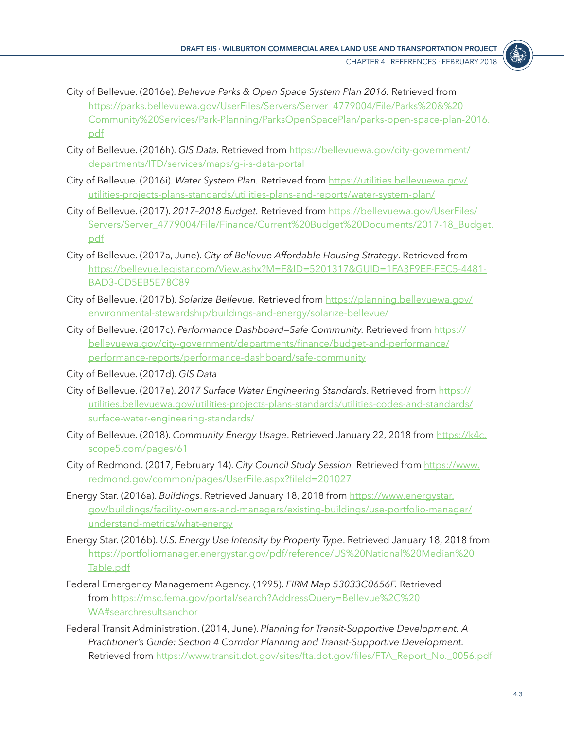

- City of Bellevue. (2016e). *Bellevue Parks & Open Space System Plan 2016.* Retrieved from [https://parks.bellevuewa.gov/UserFiles/Servers/Server\\_4779004/File/Parks%20&%20](https://parks.bellevuewa.gov/UserFiles/Servers/Server_4779004/File/Parks%20&%20Community%20Services/Park-Planning/ParksOpenSpacePlan/parks-open-space-plan-2016.pdf) [Community%20Services/Park-Planning/ParksOpenSpacePlan/parks-open-space-plan-2016.](https://parks.bellevuewa.gov/UserFiles/Servers/Server_4779004/File/Parks%20&%20Community%20Services/Park-Planning/ParksOpenSpacePlan/parks-open-space-plan-2016.pdf) [pdf](https://parks.bellevuewa.gov/UserFiles/Servers/Server_4779004/File/Parks%20&%20Community%20Services/Park-Planning/ParksOpenSpacePlan/parks-open-space-plan-2016.pdf)
- City of Bellevue. (2016h). *GIS Data.* Retrieved from [https://bellevuewa.gov/city-government/](https://bellevuewa.gov/city-government/departments/ITD/services/maps/g-i-s-data-portal) [departments/ITD/services/maps/g-i-s-data-portal](https://bellevuewa.gov/city-government/departments/ITD/services/maps/g-i-s-data-portal)
- City of Bellevue. (2016i). *Water System Plan.* Retrieved from [https://utilities.bellevuewa.gov/](https://utilities.bellevuewa.gov/utilities-projects-plans-standards/utilities-plans-and-reports/water-system-plan/) [utilities-projects-plans-standards/utilities-plans-and-reports/water-system-plan/](https://utilities.bellevuewa.gov/utilities-projects-plans-standards/utilities-plans-and-reports/water-system-plan/)
- City of Bellevue. (2017). *2017–2018 Budget.* Retrieved from [https://bellevuewa.gov/UserFiles/](https://bellevuewa.gov/UserFiles/Servers/Server_4779004/File/Finance/Current%20Budget%20Documents/2017-18_Budget.pdf) [Servers/Server\\_4779004/File/Finance/Current%20Budget%20Documents/2017-18\\_Budget.](https://bellevuewa.gov/UserFiles/Servers/Server_4779004/File/Finance/Current%20Budget%20Documents/2017-18_Budget.pdf) [pdf](https://bellevuewa.gov/UserFiles/Servers/Server_4779004/File/Finance/Current%20Budget%20Documents/2017-18_Budget.pdf)
- City of Bellevue. (2017a, June). *City of Bellevue Affordable Housing Strategy*. Retrieved from [https://bellevue.legistar.com/View.ashx?M=F&ID=5201317&GUID=1FA3F9EF-FEC5-4481-](https://bellevue.legistar.com/View.ashx?M=F&ID=5201317&GUID=1FA3F9EF-FEC5-4481-BAD3-CD5EB5E78C89) [BAD3-CD5EB5E78C89](https://bellevue.legistar.com/View.ashx?M=F&ID=5201317&GUID=1FA3F9EF-FEC5-4481-BAD3-CD5EB5E78C89)
- City of Bellevue. (2017b). *Solarize Bellevue.* Retrieved from [https://planning.bellevuewa.gov/](https://planning.bellevuewa.gov/environmental-stewardship/buildings-and-energy/solarize-bellevue/) [environmental-stewardship/buildings-and-energy/solarize-bellevue/](https://planning.bellevuewa.gov/environmental-stewardship/buildings-and-energy/solarize-bellevue/)
- City of Bellevue. (2017c). *Performance Dashboard-Safe Community*. Retrieved from [https://](https://bellevuewa.gov/city-government/departments/finance/budget-and-performance/performance-reports/performance-dashboard/safe-community) [bellevuewa.gov/city-government/departments/finance/budget-and-performance/](https://bellevuewa.gov/city-government/departments/finance/budget-and-performance/performance-reports/performance-dashboard/safe-community) [performance-reports/performance-dashboard/safe-community](https://bellevuewa.gov/city-government/departments/finance/budget-and-performance/performance-reports/performance-dashboard/safe-community)
- City of Bellevue. (2017d). *GIS Data*
- City of Bellevue. (2017e). *2017 Surface Water Engineering Standards*. Retrieved from [https://](https://utilities.bellevuewa.gov/utilities-projects-plans-standards/utilities-codes-and-standards/surface-water-engineering-standards/) [utilities.bellevuewa.gov/utilities-projects-plans-standards/utilities-codes-and-standards/](https://utilities.bellevuewa.gov/utilities-projects-plans-standards/utilities-codes-and-standards/surface-water-engineering-standards/) [surface-water-engineering-standards/](https://utilities.bellevuewa.gov/utilities-projects-plans-standards/utilities-codes-and-standards/surface-water-engineering-standards/)
- City of Bellevue. (2018). *Community Energy Usage*. Retrieved January 22, 2018 from [https://k4c.](https://k4c.scope5.com/pages/61) [scope5.com/pages/61](https://k4c.scope5.com/pages/61)
- City of Redmond. (2017, February 14). *City Council Study Session.* Retrieved from [https://www.](https://www.redmond.gov/common/pages/UserFile.aspx?fileId=201027) [redmond.gov/common/pages/UserFile.aspx?fileId=201027](https://www.redmond.gov/common/pages/UserFile.aspx?fileId=201027)
- Energy Star. (2016a). *Buildings*. Retrieved January 18, 2018 from [https://www.energystar.](https://www.energystar.gov/buildings/facility-owners-and-managers/existing-buildings/use-portfolio-manager/understand-metrics/what-energy) [gov/buildings/facility-owners-and-managers/existing-buildings/use-portfolio-manager/](https://www.energystar.gov/buildings/facility-owners-and-managers/existing-buildings/use-portfolio-manager/understand-metrics/what-energy) [understand-metrics/what-energy](https://www.energystar.gov/buildings/facility-owners-and-managers/existing-buildings/use-portfolio-manager/understand-metrics/what-energy)
- Energy Star. (2016b). *U.S. Energy Use Intensity by Property Type*. Retrieved January 18, 2018 from [https://portfoliomanager.energystar.gov/pdf/reference/US%20National%20Median%20](https://portfoliomanager.energystar.gov/pdf/reference/US%20National%20Median%20Table.pdf) [Table.pdf](https://portfoliomanager.energystar.gov/pdf/reference/US%20National%20Median%20Table.pdf)
- Federal Emergency Management Agency. (1995). *FIRM Map 53033C0656F.* Retrieved from [https://msc.fema.gov/portal/search?AddressQuery=Bellevue%2C%20](https://msc.fema.gov/portal/search?AddressQuery=Bellevue%2C%20WA#searchresultsanchor) [WA#searchresultsanchor](https://msc.fema.gov/portal/search?AddressQuery=Bellevue%2C%20WA#searchresultsanchor)
- Federal Transit Administration. (2014, June). *Planning for Transit-Supportive Development: A Practitioner's Guide: Section 4 Corridor Planning and Transit-Supportive Development.* Retrieved from [https://www.transit.dot.gov/sites/fta.dot.gov/files/FTA\\_Report\\_No.\\_0056.pdf](https://www.transit.dot.gov/sites/fta.dot.gov/files/FTA_Report_No._0056.pdf)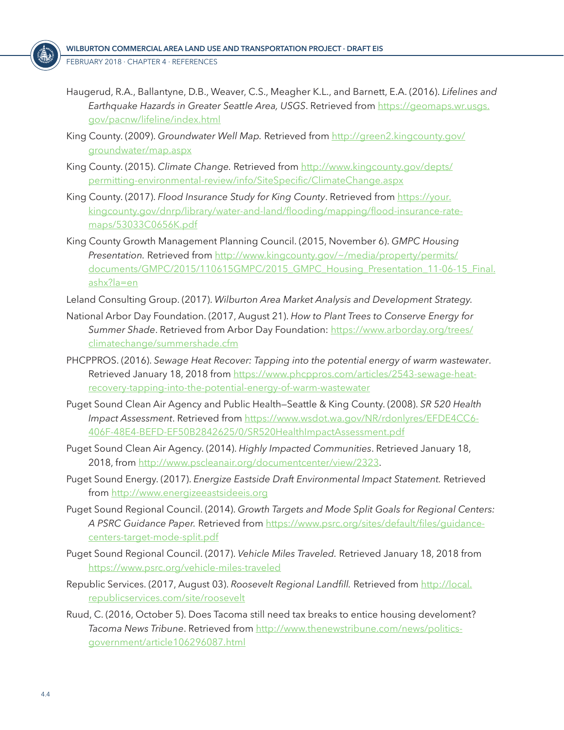- Haugerud, R.A., Ballantyne, D.B., Weaver, C.S., Meagher K.L., and Barnett, E.A. (2016). *Lifelines and Earthquake Hazards in Greater Seattle Area, USGS*. Retrieved from [https://geomaps.wr.usgs.](https://geomaps.wr.usgs.gov/pacnw/lifeline/index.html) [gov/pacnw/lifeline/index.html](https://geomaps.wr.usgs.gov/pacnw/lifeline/index.html)
- King County. (2009). Groundwater Well Map. Retrieved from [http://green2.kingcounty.gov/](http://green2.kingcounty.gov/groundwater/map.aspx) [groundwater/map.aspx](http://green2.kingcounty.gov/groundwater/map.aspx)
- King County. (2015). *Climate Change.* Retrieved from [http://www.kingcounty.gov/depts/](http://www.kingcounty.gov/depts/permitting-environmental-review/info/SiteSpecific/ClimateChange.aspx) [permitting-environmental-review/info/SiteSpecific/ClimateChange.aspx](http://www.kingcounty.gov/depts/permitting-environmental-review/info/SiteSpecific/ClimateChange.aspx)
- King County. (2017). *Flood Insurance Study for King County*. Retrieved from [https://your.](https://your.kingcounty.gov/dnrp/library/water-and-land/flooding/mapping/flood-insurance-rate-maps/53033C0656K.pdf) [kingcounty.gov/dnrp/library/water-and-land/flooding/mapping/flood-insurance-rate](https://your.kingcounty.gov/dnrp/library/water-and-land/flooding/mapping/flood-insurance-rate-maps/53033C0656K.pdf)[maps/53033C0656K.pdf](https://your.kingcounty.gov/dnrp/library/water-and-land/flooding/mapping/flood-insurance-rate-maps/53033C0656K.pdf)
- King County Growth Management Planning Council. (2015, November 6). *GMPC Housing Presentation.* Retrieved from [http://www.kingcounty.gov/~/media/property/permits/](http://www.kingcounty.gov/~/media/property/permits/documents/GMPC/2015/110615GMPC/2015_GMPC_Housing_Presentation_11-06-15_Final.ashx?la=en) [documents/GMPC/2015/110615GMPC/2015\\_GMPC\\_Housing\\_Presentation\\_11-06-15\\_Final.](http://www.kingcounty.gov/~/media/property/permits/documents/GMPC/2015/110615GMPC/2015_GMPC_Housing_Presentation_11-06-15_Final.ashx?la=en) [ashx?la=en](http://www.kingcounty.gov/~/media/property/permits/documents/GMPC/2015/110615GMPC/2015_GMPC_Housing_Presentation_11-06-15_Final.ashx?la=en)
- Leland Consulting Group. (2017). *Wilburton Area Market Analysis and Development Strategy.*
- National Arbor Day Foundation. (2017, August 21). *How to Plant Trees to Conserve Energy for Summer Shade*. Retrieved from Arbor Day Foundation: [https://www.arborday.org/trees/](https://www.arborday.org/trees/climatechange/summershade.cfm) [climatechange/summershade.cfm](https://www.arborday.org/trees/climatechange/summershade.cfm)
- PHCPPROS. (2016). *Sewage Heat Recover: Tapping into the potential energy of warm wastewater*. Retrieved January 18, 2018 from [https://www.phcppros.com/articles/2543-sewage-heat](https://www.phcppros.com/articles/2543-sewage-heat-recovery-tapping-into-the-potential-energy-of-warm-wastewater)[recovery-tapping-into-the-potential-energy-of-warm-wastewater](https://www.phcppros.com/articles/2543-sewage-heat-recovery-tapping-into-the-potential-energy-of-warm-wastewater)
- Puget Sound Clean Air Agency and Public Health—Seattle & King County. (2008). *SR 520 Health Impact Assessment*. Retrieved from [https://www.wsdot.wa.gov/NR/rdonlyres/EFDE4CC6-](https://www.wsdot.wa.gov/NR/rdonlyres/EFDE4CC6-406F-48E4-BEFD-EF50B2842625/0/SR520HealthImpactAssessment.pdf) [406F-48E4-BEFD-EF50B2842625/0/SR520HealthImpactAssessment.pdf](https://www.wsdot.wa.gov/NR/rdonlyres/EFDE4CC6-406F-48E4-BEFD-EF50B2842625/0/SR520HealthImpactAssessment.pdf)
- Puget Sound Clean Air Agency. (2014). *Highly Impacted Communities*. Retrieved January 18, 2018, from<http://www.pscleanair.org/documentcenter/view/2323>.
- Puget Sound Energy. (2017). *Energize Eastside Draft Environmental Impact Statement.* Retrieved from<http://www.energizeeastsideeis.org>
- Puget Sound Regional Council. (2014). *Growth Targets and Mode Split Goals for Regional Centers: A PSRC Guidance Paper.* Retrieved from [https://www.psrc.org/sites/default/files/guidance](https://www.psrc.org/sites/default/files/guidance-centers-target-mode-split.pdf)[centers-target-mode-split.pdf](https://www.psrc.org/sites/default/files/guidance-centers-target-mode-split.pdf)
- Puget Sound Regional Council. (2017). *Vehicle Miles Traveled.* Retrieved January 18, 2018 from <https://www.psrc.org/vehicle-miles-traveled>
- Republic Services. (2017, August 03). *Roosevelt Regional Landfill.* Retrieved from [http://local.](http://local.republicservices.com/site/roosevelt) [republicservices.com/site/roosevelt](http://local.republicservices.com/site/roosevelt)
- Ruud, C. (2016, October 5). Does Tacoma still need tax breaks to entice housing develoment? *Tacoma News Tribune*. Retrieved from [http://www.thenewstribune.com/news/politics](http://www.thenewstribune.com/news/politics-government/article106296087.html)[government/article106296087.html](http://www.thenewstribune.com/news/politics-government/article106296087.html)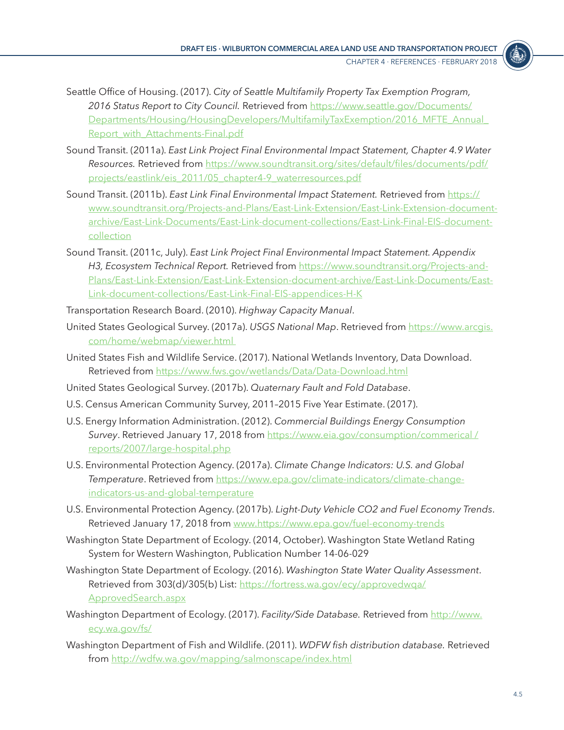

- Seattle Office of Housing. (2017). *City of Seattle Multifamily Property Tax Exemption Program, 2016 Status Report to City Council.* Retrieved from [https://www.seattle.gov/Documents/](https://www.seattle.gov/Documents/Departments/Housing/HousingDevelopers/MultifamilyTaxExemption/2016_MFTE_Annual_Report_with_Attachments-Final.pdf) [Departments/Housing/HousingDevelopers/MultifamilyTaxExemption/2016\\_MFTE\\_Annual\\_](https://www.seattle.gov/Documents/Departments/Housing/HousingDevelopers/MultifamilyTaxExemption/2016_MFTE_Annual_Report_with_Attachments-Final.pdf) Report with Attachments-Final.pdf
- Sound Transit. (2011a). *East Link Project Final Environmental Impact Statement, Chapter 4.9 Water Resources.* Retrieved from [https://www.soundtransit.org/sites/default/files/documents/pdf/](https://www.soundtransit.org/sites/default/files/documents/pdf/projects/eastlink/eis_2011/05_chapter4-9_waterresources.pdf) [projects/eastlink/eis\\_2011/05\\_chapter4-9\\_waterresources.pdf](https://www.soundtransit.org/sites/default/files/documents/pdf/projects/eastlink/eis_2011/05_chapter4-9_waterresources.pdf)
- Sound Transit. (2011b). *East Link Final Environmental Impact Statement.* Retrieved from [https://](https://www.soundtransit.org/Projects-and-Plans/East-Link-Extension/East-Link-Extension-document-archive/East-Link-Documents/East-Link-document-collections/East-Link-Final-EIS-document-collection) [www.soundtransit.org/Projects-and-Plans/East-Link-Extension/East-Link-Extension-document](https://www.soundtransit.org/Projects-and-Plans/East-Link-Extension/East-Link-Extension-document-archive/East-Link-Documents/East-Link-document-collections/East-Link-Final-EIS-document-collection)[archive/East-Link-Documents/East-Link-document-collections/East-Link-Final-EIS-document](https://www.soundtransit.org/Projects-and-Plans/East-Link-Extension/East-Link-Extension-document-archive/East-Link-Documents/East-Link-document-collections/East-Link-Final-EIS-document-collection)[collection](https://www.soundtransit.org/Projects-and-Plans/East-Link-Extension/East-Link-Extension-document-archive/East-Link-Documents/East-Link-document-collections/East-Link-Final-EIS-document-collection)
- Sound Transit. (2011c, July). *East Link Project Final Environmental Impact Statement. Appendix H3, Ecosystem Technical Report.* Retrieved from [https://www.soundtransit.org/Projects-and-](https://www.soundtransit.org/Projects-and-Plans/East-Link-Extension/East-Link-Extension-document-archive/East-Link-Documents/East-Link-document-collections/East-Link-Final-EIS-appendices-H-K)[Plans/East-Link-Extension/East-Link-Extension-document-archive/East-Link-Documents/East-](https://www.soundtransit.org/Projects-and-Plans/East-Link-Extension/East-Link-Extension-document-archive/East-Link-Documents/East-Link-document-collections/East-Link-Final-EIS-appendices-H-K)[Link-document-collections/East-Link-Final-EIS-appendices-H-K](https://www.soundtransit.org/Projects-and-Plans/East-Link-Extension/East-Link-Extension-document-archive/East-Link-Documents/East-Link-document-collections/East-Link-Final-EIS-appendices-H-K)
- Transportation Research Board. (2010). *Highway Capacity Manual*.
- United States Geological Survey. (2017a). *USGS National Map*. Retrieved from [https://www.arcgis.](https://www.arcgis.com/home/webmap/viewer.html ) [com/home/webmap/viewer.html](https://www.arcgis.com/home/webmap/viewer.html )
- United States Fish and Wildlife Service. (2017). National Wetlands Inventory, Data Download. Retrieved from<https://www.fws.gov/wetlands/Data/Data-Download.html>
- United States Geological Survey. (2017b). *Quaternary Fault and Fold Database*.
- U.S. Census American Community Survey, 2011–2015 Five Year Estimate. (2017).
- U.S. Energy Information Administration. (2012). *Commercial Buildings Energy Consumption Survey*. Retrieved January 17, 2018 from [https://www.eia.gov/consumption/commerical /](https://www.eia.gov/consumption/commerical /reports/2007/large-hospital.php) [reports/2007/large-hospital.php](https://www.eia.gov/consumption/commerical /reports/2007/large-hospital.php)
- U.S. Environmental Protection Agency. (2017a). *Climate Change Indicators: U.S. and Global Temperature*. Retrieved from [https://www.epa.gov/climate-indicators/climate-change](https://www.epa.gov/climate-indicators/climate-change-indicators-us-and-global-temperature)[indicators-us-and-global-temperature](https://www.epa.gov/climate-indicators/climate-change-indicators-us-and-global-temperature)
- U.S. Environmental Protection Agency. (2017b). *Light-Duty Vehicle CO2 and Fuel Economy Trends*. Retrieved January 17, 2018 from<www.https://www.epa.gov/fuel-economy-trends>
- Washington State Department of Ecology. (2014, October). Washington State Wetland Rating System for Western Washington, Publication Number 14-06-029
- Washington State Department of Ecology. (2016). *Washington State Water Quality Assessment*. Retrieved from 303(d)/305(b) List: [https://fortress.wa.gov/ecy/approvedwqa/](https://fortress.wa.gov/ecy/approvedwqa/ApprovedSearch.aspx) [ApprovedSearch.aspx](https://fortress.wa.gov/ecy/approvedwqa/ApprovedSearch.aspx)
- Washington Department of Ecology. (2017). *Facility/Side Database.* Retrieved from [http://www.](http://www.ecy.wa.gov/fs/) [ecy.wa.gov/fs/](http://www.ecy.wa.gov/fs/)
- Washington Department of Fish and Wildlife. (2011). *WDFW fish distribution database.* Retrieved from<http://wdfw.wa.gov/mapping/salmonscape/index.html>